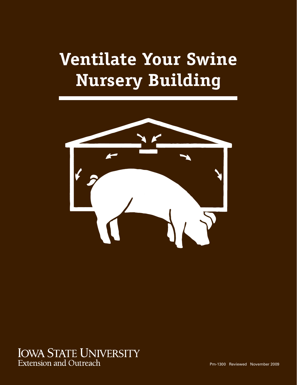# **Ventilate Your Swine Nursery Building**



## **IOWA STATE UNIVERSITY** Extension and Outreach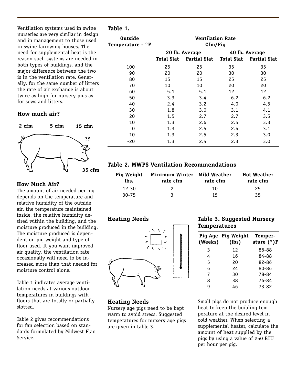**Table 1.**

Ventilation systems used in swine nurseries are very similar in design and in management to those used in swine farrowing houses. The need for supplemental heat is the reason such systems are needed in both types of buildings, and the major difference between the two is in the ventilation rate. Generally, for the same number of litters the rate of air exchange is about twice as high for nursery pigs as for sows and litters.

#### **How much air?**

**2 cfm 5 cfm 15 cfm 35 cfm ??**

#### **How Much Air?**

The amount of air needed per pig depends on the temperature and relative humidity of the outside air, the temperature maintained inside, the relative humidity desired within the building, and the moisture produced in the building. The moisture produced is dependent on pig weight and type of floor used. It you want improved air quality, the ventilation rate occasionally will need to be increased more than that needed for moisture control alone.

Table 1 indicates average ventilation needs at various outdoor temperatures in buildings with floors that are totally or partially slotted.

Table 2 gives recommendations for fan selection based on standards formulated by Midwest Plan Service.

| <b>Outside</b><br>Temperature - °F | <b>Ventilation Rate</b><br>Cfm/Pig |                     |                |                     |
|------------------------------------|------------------------------------|---------------------|----------------|---------------------|
|                                    | 20 lb. Average                     |                     | 40 lb. Average |                     |
|                                    | Total Slat                         | <b>Partial Slat</b> | Total Slat     | <b>Partial Slat</b> |
| 100                                | 25                                 | 25                  | 35             | 35                  |
| 90                                 | 20                                 | 20                  | 30             | 30                  |
| 80                                 | 15                                 | 15                  | 25             | 25                  |
| 70                                 | 10                                 | 10                  | 20             | 20                  |
| 60                                 | 5.1                                | 5.1                 | 12             | 12                  |
| 50                                 | 3.3                                | 3.4                 | 6.2            | 6.2                 |
| 40                                 | 2.4                                | 3.2                 | 4.0            | 4.5                 |
| 30                                 | 1.8                                | 3.0                 | 3.1            | 4.1                 |
| 20                                 | 1.5                                | 2.7                 | 2.7            | 3.5                 |
| 10                                 | 1.3                                | 2.6                 | 2.5            | 3.3                 |
| 0                                  | 1.3                                | 2.5                 | 2.4            | 3.1                 |
| -10                                | 1.3                                | 2.5                 | 2.3            | 3.0                 |
| -20                                | 1.3                                | 2.4                 | 2.3            | 3.0                 |

#### **Table 2. MWPS Ventilation Recommendations**

| <b>Pig Weight</b><br>lbs. | Minimum Winter Mild Weather<br>rate cfm | rate cfm | <b>Hot Weather</b><br>rate cfm |
|---------------------------|-----------------------------------------|----------|--------------------------------|
| $12 - 30$                 |                                         | 10       | 25                             |
| $30 - 75$                 |                                         | 15       | 35                             |

#### **Heating Needs**



### **Heating Needs**

Nursery age pigs need to be kept warm to avoid stress. Suggested temperatures for nursery age pigs are given in table 3.

#### **Table 3. Suggested Nursery Temperatures**

| (Weeks) | Pig Age Pig Weight<br>(lbs) | Temper-<br>ature (°)F |
|---------|-----------------------------|-----------------------|
| 3       | 12                          | 86-88                 |
| 4       | 16                          | 84-88                 |
| 5       | 20                          | 82-86                 |
| 6       | 24                          | 80-86                 |
| 7       | 30                          | 78-84                 |
| 8       | 38                          | 76-84                 |
| g       | 46                          | 73-82                 |
|         |                             |                       |

Small pigs do not produce enough heat to keep the building temperature at the desired level in cold weather. When selecting a supplemental heater, calculate the amount of heat supplied by the pigs by using a value of 250 BTU per hour per pig.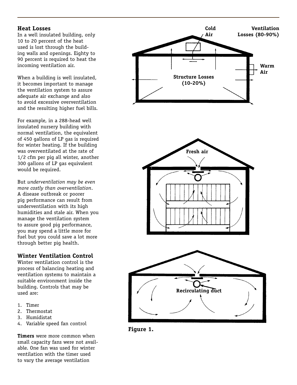#### **Heat Losses**

In a well insulated building, only 10 to 20 percent of the heat used is lost through the building walls and openings. Eighty to 90 percent is required to heat the incoming ventilation air.

When a building is well insulated, it becomes important to manage the ventilation system to assure adequate air exchange and also to avoid excessive overventilation and the resulting higher fuel bills.

For example, in a 288-head well insulated nursery building with normal ventilation, the equivalent of 450 gallons of LP gas is required for winter heating. If the building was overventilated at the rate of 1/2 cfm per pig all winter, another 300 gallons of LP gas equivalent would be required.

But *underventilation may be even more costly than overventilation*. A disease outbreak or poorer pig performance can result from underventilation with its high humidities and stale air. When you manage the ventilation system to assure good pig performance, you may spend a little more for fuel but you could save a lot more through better pig health.

#### **Winter Ventilation Control**

Winter ventilation control is the process of balancing heating and ventilation systems to maintain a suitable environment inside the building. Controls that may be used are:

- 1. Timer
- 2. Thermostat
- 3. Humidistat
- 4. Variable speed fan control

**Timers** were more common when small capacity fans were not available. One fan was used for winter ventilation with the timer used to vary the average ventilation



**Figure 1.**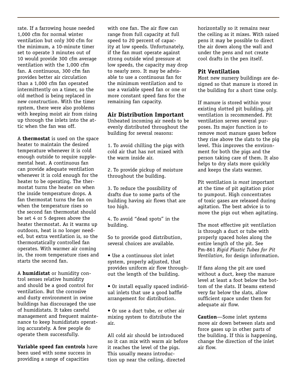rate. If a farrowing house needed 1,000 cfm for normal winter ventilation but only 300 cfm for the minimum, a 10-minute timer set to operate 3 minutes out of 10 would provide 300 cfm average ventilation with the 1,000 cfm fan. A continuous, 300 cfm fan provides better air circulation than a 1,000 cfm fan operated intermittently on a timer, so the old method is being replaced in new construction. With the timer system, there were also problems with keeping moist air from rising up through the inlets into the attic when the fan was off.

A **thermostat** is used on the space heater to maintain the desired temperature whenever it is cold enough outside to require supplemental heat. A continuous fan can provide adequate ventilation whenever it is cold enough for the heater to be operating. The thermostat turns the heater on when the inside temperature drops. A fan thermostat turns the fan on when the temperature rises so the second fan thermostat should be set 4 or 5 degrees above the heater thermostat. As it warms up outdoors, heat is no longer needed, but extra ventilation is, so the thermostatically controlled fan operates. With warmer air coming in, the room temperature rises and starts the second fan.

A **humidistat** or humidity control senses relative humidity and should be a good control for ventilation. But the corrosive and dusty environment in swine buildings has discouraged the use of humidistats. It takes careful management and frequent maintenance to keep humidistats operating accurately. A few people do operate them successfully.

**Variable speed fan controls** have been used with some success in providing a range of capacities

with one fan. The air flow can range from full capacity at full speed to 20 percent of capacity at low speeds. Unfortunately, if the fan must operate against strong outside wind pressure at low speeds, the capacity may drop to nearly zero. It may be advisable to use a continuous fan for the minimum ventilation and to use a variable speed fan or one or more constant speed fans for the remaining fan capacity.

#### **Air Distribution Important**

Unheated incoming air needs to be evenly distributed throughout the building for several reasons:

1. To avoid chilling the pigs with cold air that has not mixed with the warm inside air.

2. To provide pickup of moisture throughout the building.

3. To reduce the possibility of drafts due to some parts of the building having air flows that are too high.

4. To avoid "dead spots" in the building.

So to provide good distribution, several choices are available.

• Use a continuous slot inlet system, properly adjusted, that provides uniform air flow throughout the length of the building.

• Or install equally spaced individual inlets that use a good baffle arrangement for distribution.

• Or use a duct tube, or other air mixing system to distribute the air.

All cold air should be introduced so it can mix with warm air before it reaches the level of the pigs. This usually means introduction up near the ceiling, directed

horizontally so it remains near the ceiling as it mixes. With raised pens it may be possible to direct the air down along the wall and under the pens and not create cool drafts in the pen itself.

#### **Pit Ventilation**

Most new nursery buildings are designed so that manure is stored in the building for a short time only.

If manure is stored within your existing slotted pit building, pit ventilation is recommended. Pit ventilation serves several purposes. Its major function is to remove most manure gases before they rise above the slats to the pig level. This improves the environment for both the pigs and the person taking care of them. It also helps to dry slats more quickly and keeps the slats warmer.

Pit ventilation is *most* important at the time of pit agitation prior to pumpout. High concentrates of toxic gases are released during agitation. The best advice is to move the pigs out when agitating.

The most effective pit ventilation is through a duct or tube with properly spaced holes along the entire length of the pit. See Pm-861 *Rigid Plastic Tubes for Pit Ventilation*, for design information.

If fans along the pit are used without a duct, keep the manure level at least a foot below the bottom of the slats. If beams extend very far below the slats, allow sufficient space under them for adequate air flow.

**Caution**—Some inlet systems move air down between slats and force gases up in other parts of the building. If this is happening, change the direction of the inlet air flow.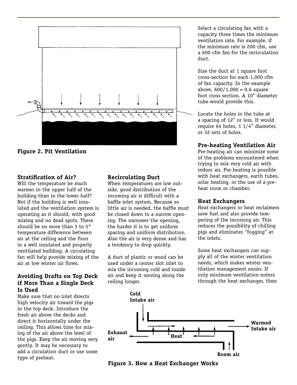

**Figure 2. Pit Ventilation**

#### **Stratification of Air?**

Will the temperature be much warmer in the upper half of the building than in the lower half? Not if the building is well insulated and the ventilation system is operating as it should, with good mixing and no dead spots. There should be no more than 3 to 5° temperature difference between air at the ceiling and the floor in a well insulated and properly ventilated building. A circulating fan will help provide mixing of the air at low winter air flows.

#### **Avoiding Drafts on Top Deck if More Than a Single Deck Is Used**

Make sure that no inlet directs high velocity air toward the pigs in the top deck. Introduce the fresh air above the decks and direct it horizontally under the ceiling. This allows time for mixing of the air above the level of the pigs. Keep the air moving very gently. It may be necessary to add a circulation duct or use some type of preheat.

#### **Recirculating Duct**

When temperatures are low outside, good distribution of the incoming air is difficult with a baffle inlet system. Because so little air is needed, the baffle must be closed down to a narrow opening. The narrower the opening, the harder it is to get uniform spacing and uniform distribution. Also the air is very dense and has a tendency to drop quickly.

A duct of plastic or wood can be used under a center slot inlet to mix the incoming cold and inside air and keep it moving along the ceiling longer.

Select a circulating fan with a capacity three times the minimum ventilation rate. For example, if the minimum rate is 200 cfm, use a 600 cfm fan for the recirculation duct.

Size the duct at 1 square foot cross-section for each 1,000 cfm of fan capacity. In the example above,  $600/1,000 = 0.6$  square foot cross section. A 10" diameter tube would provide this.

Locate the holes in the tube at a spacing of 12" or less. It would require 64 holes, 1 1/4" diameter, or 32 sets of holes.

#### **Pre-heating Ventilation Air**

Pre-heating air can minimize some of the problems encountered when trying to mix very cold air with indoor air. Pre-heating is possible with heat exchangers, earth tubes, solar heating, or the use of a preheat room or chamber.

#### **Heat Exchangers**

Heat exchangers or heat reclaimers save fuel and also provide tempering of the incoming air. This reduces the possibility of chilling pigs and eliminates "fogging" at the inlets.

Some heat exchangers can supply all of the winter ventilation needs, which makes winter ventilation management easier. If only minimum ventilation enters through the heat exchanger, then



**Figure 3. How a Heat Exchanger Works**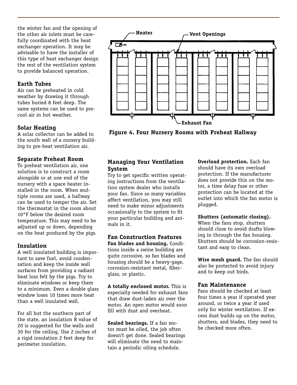the winter fan and the opening of the other air inlets must be carefully coordinated with the heat exchanger operation. It may be advisable to have the installer of this type of heat exchanger design the rest of the ventilation system to provide balanced operation.

#### **Earth Tubes**

Air can be preheated in cold weather by drawing it through tubes buried 8 feet deep. The same systems can be used to precool air in hot weather.

#### **Solar Heating**

A solar collector can be added to the south wall of a nursery building to pre-heat ventilation air.

#### **Separate Preheat Room**

To preheat ventilation air, one solution is to construct a room alongside or at one end of the nursery with a space heater installed in the room. When multiple rooms are used, a hallway can be used to temper the air. Set the thermostat in the room about 10°F below the desired room temperature. This may need to be adjusted up or down, depending on the heat produced by the pigs.

#### **Insulation**

A well insulated building is important to save fuel, avoid condensation and keep the inside wall surfaces from providing a radiant heat loss felt by the pigs. Try to eliminate windows or keep them to a minimum. Even a double glass window loses 10 times more heat than a well insulated wall.

For all but the southern part of the state, an insulation R value of 20 is suggested for the walls and 30 for the ceiling. Use 2 inches of a rigid insulation 2 feet deep for perimeter insulation.



**Figure 4. Four Nursery Rooms with Preheat Hallway**

#### **Managing Your Ventilation System**

Try to get specific written operating instructions from the ventilation system dealer who installs your fan. Since so many variables affect ventilation, you may still need to make minor adjustments occasionally to the system to fit your particular building and animals in it.

**Fan Construction Features Fan blades and housing.** Conditions inside a swine building are quite corrosive, so fan blades and housing should be a heavy-gage, corrosion-resistant metal, fiberglass, or plastic.

**A totally enclosed motor.** This is especially needed for exhaust fans that draw dust-laden air over the motor. An open motor would soon fill with dust and overheat.

**Sealed bearings.** If a fan motor must be oiled, the job often doesn't get done. Sealed bearings will eliminate the need to maintain a periodic oiling schedule.

**Overload protection.** Each fan should have its own overload protection. If the manufacturer does not provide this on the motor, a time delay fuse or other protection can be located at the outlet into which the fan motor is plugged.

#### **Shutters (automatic closing).**

When the fans stop, shutters should close to avoid drafts blowing in through the fan housing. Shutters should be corrosion-resistant and easy to clean.

**Wire mesh guard.** The fan should also be protected to avoid injury and to keep out birds.

#### **Fan Maintenance**

Fans should be checked at least four times a year if operated year around, or twice a year if used only for winter ventilation. If excess dust builds up on the motor, shutters, and blades, they need to be checked more often.